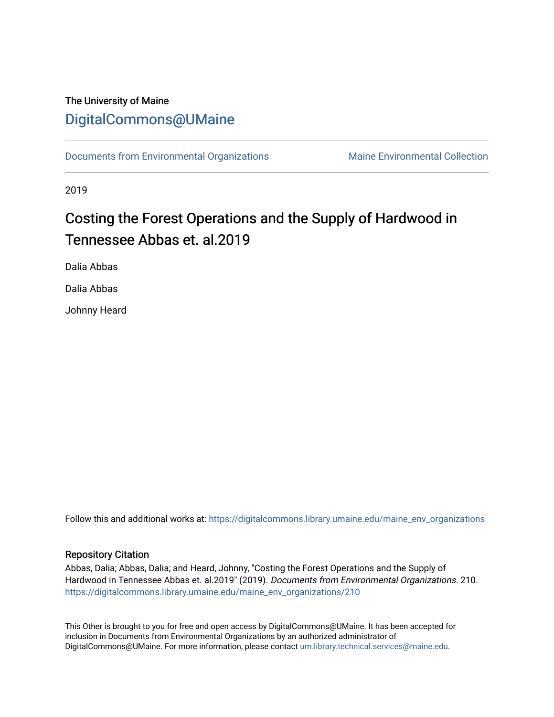## The University of Maine [DigitalCommons@UMaine](https://digitalcommons.library.umaine.edu/)

[Documents from Environmental Organizations](https://digitalcommons.library.umaine.edu/maine_env_organizations) Maine Environmental Collection

2019

## Costing the Forest Operations and the Supply of Hardwood in Tennessee Abbas et. al.2019

Dalia Abbas

Dalia Abbas

Johnny Heard

Follow this and additional works at: [https://digitalcommons.library.umaine.edu/maine\\_env\\_organizations](https://digitalcommons.library.umaine.edu/maine_env_organizations?utm_source=digitalcommons.library.umaine.edu%2Fmaine_env_organizations%2F210&utm_medium=PDF&utm_campaign=PDFCoverPages)

#### Repository Citation

Abbas, Dalia; Abbas, Dalia; and Heard, Johnny, "Costing the Forest Operations and the Supply of Hardwood in Tennessee Abbas et. al.2019" (2019). Documents from Environmental Organizations. 210. [https://digitalcommons.library.umaine.edu/maine\\_env\\_organizations/210](https://digitalcommons.library.umaine.edu/maine_env_organizations/210?utm_source=digitalcommons.library.umaine.edu%2Fmaine_env_organizations%2F210&utm_medium=PDF&utm_campaign=PDFCoverPages)

This Other is brought to you for free and open access by DigitalCommons@UMaine. It has been accepted for inclusion in Documents from Environmental Organizations by an authorized administrator of DigitalCommons@UMaine. For more information, please contact [um.library.technical.services@maine.edu](mailto:um.library.technical.services@maine.edu).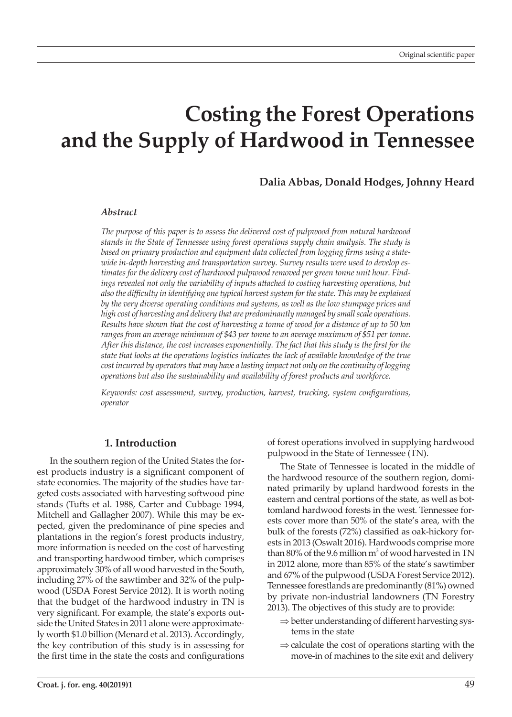# **Costing the Forest Operations and the Supply of Hardwood in Tennessee**

## **Dalia Abbas, Donald Hodges, Johnny Heard**

#### *Abstract*

*The purpose of this paper is to assess the delivered cost of pulpwood from natural hardwood stands in the State of Tennessee using forest operations supply chain analysis. The study is based on primary production and equipment data collected from logging firms using a statewide in-depth harvesting and transportation survey. Survey results were used to develop estimates for the delivery cost of hardwood pulpwood removed per green tonne unit hour. Find*ings revealed not only the variability of inputs attached to costing harvesting operations, but *also the difficulty in identifying one typical harvest system for the state. This may be explained by the very diverse operating conditions and systems, as well as the low stumpage prices and high cost of harvesting and delivery that are predominantly managed by small scale operations. Results have shown that the cost of harvesting a tonne of wood for a distance of up to 50 km*  ranges from an average minimum of \$43 per tonne to an average maximum of \$51 per tonne. *After this distance, the cost increases exponentially. The fact that this study is the first for the state that looks at the operations logistics indicates the lack of available knowledge of the true cost incurred by operators that may have a lasting impact not only on the continuity of logging operations but also the sustainability and availability of forest products and workforce.*

*Keywords: cost assessment, survey, production, harvest, trucking, system configurations, operator*

### **1. Introduction**

In the southern region of the United States the forest products industry is a significant component of state economies. The majority of the studies have targeted costs associated with harvesting softwood pine stands (Tufts et al. 1988, Carter and Cubbage 1994, Mitchell and Gallagher 2007). While this may be expected, given the predominance of pine species and plantations in the region's forest products industry, more information is needed on the cost of harvesting and transporting hardwood timber, which comprises approximately 30% of all wood harvested in the South, including 27% of the sawtimber and 32% of the pulpwood (USDA Forest Service 2012). It is worth noting that the budget of the hardwood industry in TN is very significant. For example, the state's exports outside the United States in 2011 alone were approximately worth \$1.0 billion (Menard et al. 2013). Accordingly, the key contribution of this study is in assessing for the first time in the state the costs and configurations

of forest operations involved in supplying hardwood pulpwood in the State of Tennessee (TN).

The State of Tennessee is located in the middle of the hardwood resource of the southern region, dominated primarily by upland hardwood forests in the eastern and central portions of the state, as well as bottomland hardwood forests in the west. Tennessee forests cover more than 50% of the state's area, with the bulk of the forests (72%) classified as oak-hickory forests in 2013 (Oswalt 2016). Hardwoods comprise more than 80% of the 9.6 million  $m^3$  of wood harvested in TN in 2012 alone, more than 85% of the state's sawtimber and 67% of the pulpwood (USDA Forest Service 2012). Tennessee forestlands are predominantly (81%) owned by private non-industrial landowners (TN Forestry 2013). The objectives of this study are to provide:

- $\Rightarrow$  better understanding of different harvesting systems in the state
- $\Rightarrow$  calculate the cost of operations starting with the move-in of machines to the site exit and delivery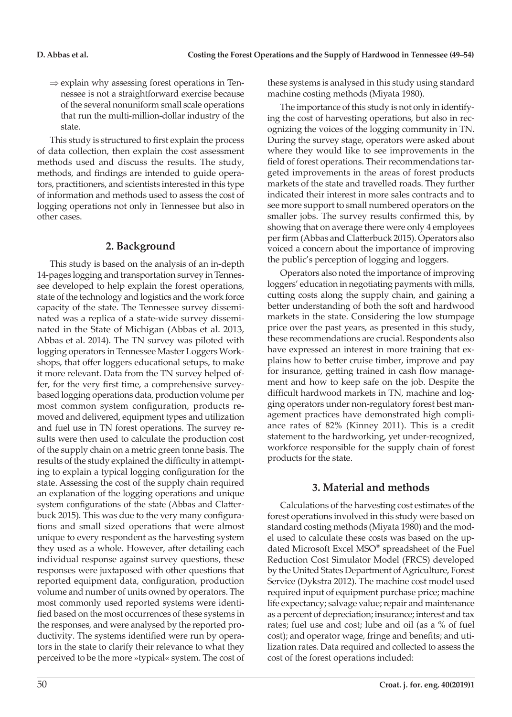$\Rightarrow$  explain why assessing forest operations in Tennessee is not a straightforward exercise because of the several nonuniform small scale operations that run the multi-million-dollar industry of the state.

This study is structured to first explain the process of data collection, then explain the cost assessment methods used and discuss the results. The study, methods, and findings are intended to guide operators, practitioners, and scientists interested in this type of information and methods used to assess the cost of logging operations not only in Tennessee but also in other cases.

## **2. Background**

This study is based on the analysis of an in-depth 14-pages logging and transportation survey in Tennessee developed to help explain the forest operations, state of the technology and logistics and the work force capacity of the state. The Tennessee survey disseminated was a replica of a state-wide survey disseminated in the State of Michigan (Abbas et al. 2013, Abbas et al. 2014). The TN survey was piloted with logging operators in Tennessee Master Loggers Workshops, that offer loggers educational setups, to make it more relevant. Data from the TN survey helped offer, for the very first time, a comprehensive surveybased logging operations data, production volume per most common system configuration, products removed and delivered, equipment types and utilization and fuel use in TN forest operations. The survey results were then used to calculate the production cost of the supply chain on a metric green tonne basis. The results of the study explained the difficulty in attempting to explain a typical logging configuration for the state. Assessing the cost of the supply chain required an explanation of the logging operations and unique system configurations of the state (Abbas and Clatterbuck 2015). This was due to the very many configurations and small sized operations that were almost unique to every respondent as the harvesting system they used as a whole. However, after detailing each individual response against survey questions, these responses were juxtaposed with other questions that reported equipment data, configuration, production volume and number of units owned by operators. The most commonly used reported systems were identified based on the most occurrences of these systems in the responses, and were analysed by the reported productivity. The systems identified were run by operators in the state to clarify their relevance to what they perceived to be the more »typical« system. The cost of

these systems is analysed in this study using standard machine costing methods (Miyata 1980).

The importance of this study is not only in identifying the cost of harvesting operations, but also in recognizing the voices of the logging community in TN. During the survey stage, operators were asked about where they would like to see improvements in the field of forest operations. Their recommendations targeted improvements in the areas of forest products markets of the state and travelled roads. They further indicated their interest in more sales contracts and to see more support to small numbered operators on the smaller jobs. The survey results confirmed this, by showing that on average there were only 4 employees per firm (Abbas and Clatterbuck 2015). Operators also voiced a concern about the importance of improving the public's perception of logging and loggers.

Operators also noted the importance of improving loggers' education in negotiating payments with mills, cutting costs along the supply chain, and gaining a better understanding of both the soft and hardwood markets in the state. Considering the low stumpage price over the past years, as presented in this study, these recommendations are crucial. Respondents also have expressed an interest in more training that explains how to better cruise timber, improve and pay for insurance, getting trained in cash flow management and how to keep safe on the job. Despite the difficult hardwood markets in TN, machine and logging operators under non-regulatory forest best management practices have demonstrated high compliance rates of 82% (Kinney 2011). This is a credit statement to the hardworking, yet under-recognized, workforce responsible for the supply chain of forest products for the state.

## **3. Material and methods**

Calculations of the harvesting cost estimates of the forest operations involved in this study were based on standard costing methods (Miyata 1980) and the model used to calculate these costs was based on the updated Microsoft Excel MSO® spreadsheet of the Fuel Reduction Cost Simulator Model (FRCS) developed by the United States Department of Agriculture, Forest Service (Dykstra 2012). The machine cost model used required input of equipment purchase price; machine life expectancy; salvage value; repair and maintenance as a percent of depreciation; insurance; interest and tax rates; fuel use and cost; lube and oil (as a % of fuel cost); and operator wage, fringe and benefits; and utilization rates. Data required and collected to assess the cost of the forest operations included: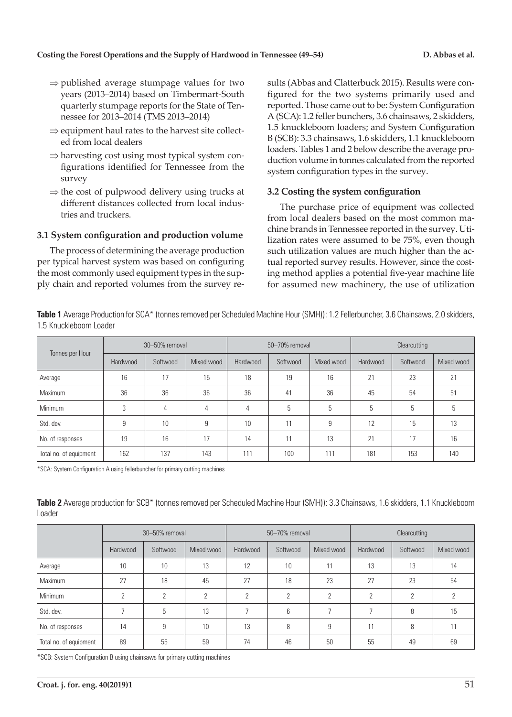- $\Rightarrow$  published average stumpage values for two years (2013–2014) based on Timbermart-South quarterly stumpage reports for the State of Tennessee for 2013–2014 (TMS 2013–2014)
- $\Rightarrow$  equipment haul rates to the harvest site collected from local dealers
- $\Rightarrow$  harvesting cost using most typical system configurations identified for Tennessee from the survey
- $\Rightarrow$  the cost of pulpwood delivery using trucks at different distances collected from local industries and truckers.

### **3.1 System configuration and production volume**

The process of determining the average production per typical harvest system was based on configuring the most commonly used equipment types in the supply chain and reported volumes from the survey results (Abbas and Clatterbuck 2015). Results were configured for the two systems primarily used and reported. Those came out to be: System Configuration A (SCA): 1.2 feller bunchers, 3.6 chainsaws, 2 skidders, 1.5 knuckleboom loaders; and System Configuration B (SCB): 3.3 chainsaws, 1.6 skidders, 1.1 knuckleboom loaders. Tables 1 and 2 below describe the average production volume in tonnes calculated from the reported system configuration types in the survey.

## **3.2 Costing the system configuration**

The purchase price of equipment was collected from local dealers based on the most common machine brands in Tennessee reported in the survey. Utilization rates were assumed to be 75%, even though such utilization values are much higher than the actual reported survey results. However, since the costing method applies a potential five-year machine life for assumed new machinery, the use of utilization

**Table 1** Average Production for SCA\* (tonnes removed per Scheduled Machine Hour (SMH)): 1.2 Fellerbuncher, 3.6 Chainsaws, 2.0 skidders, 1.5 Knuckleboom Loader

| Tonnes per Hour        |          | 30-50% removal |            |          | 50-70% removal |            | Clearcutting |          |            |  |
|------------------------|----------|----------------|------------|----------|----------------|------------|--------------|----------|------------|--|
|                        | Hardwood | Softwood       | Mixed wood | Hardwood | Softwood       | Mixed wood | Hardwood     | Softwood | Mixed wood |  |
| Average                | 16       | 17             | 15         | 18       | 19             | 16         | 21           | 23       | 21         |  |
| Maximum                | 36       | 36             | 36         | 36       | 41             | 36         | 45           | 54       | 51         |  |
| Minimum                | 3        | 4              | 4          | 4        | 5              | 5          | 5            | 5        | 5          |  |
| Std. dev.              | 9        | 10             | 9          | 10       | 11             | 9          | 12           | 15       | 13         |  |
| No. of responses       | 19       | 16             | 17         | 14       | 11             | 13         | 21           | 17       | 16         |  |
| Total no. of equipment | 162      | 137            | 143        | 111      | 100            | 111        | 181          | 153      | 140        |  |

\*SCA: System Configuration A using fellerbuncher for primary cutting machines

Table 2 Average production for SCB\* (tonnes removed per Scheduled Machine Hour (SMH)): 3.3 Chainsaws, 1.6 skidders, 1.1 Knuckleboom Loader

|                        |          | 30-50% removal |            |          | 50-70% removal |            | Clearcutting |          |            |  |
|------------------------|----------|----------------|------------|----------|----------------|------------|--------------|----------|------------|--|
|                        | Hardwood | Softwood       | Mixed wood | Hardwood | Softwood       | Mixed wood | Hardwood     | Softwood | Mixed wood |  |
| Average                | 10       | 10             | 13         | 12       | 10             |            | 13           | 13       | 14         |  |
| Maximum                | 27       | 18             | 45         | 27       | 18             | 23         | 27           | 23       | 54         |  |
| Minimum                | C        | $\Omega$       | $\Omega$   | C        | $\Omega$       | C          | $\Omega$     | ŋ        | n          |  |
| Std. dev.              |          | 5              | 13         |          | 6              |            | ᄀ            | 8        | 15         |  |
| No. of responses       | 14       | 9              | 10         | 13       | 8              | 9          | 11           | 8        | 11         |  |
| Total no. of equipment | 89       | 55             | 59         | 74       | 46             | 50         | 55           | 49       | 69         |  |

\*SCB: System Configuration B using chainsaws for primary cutting machines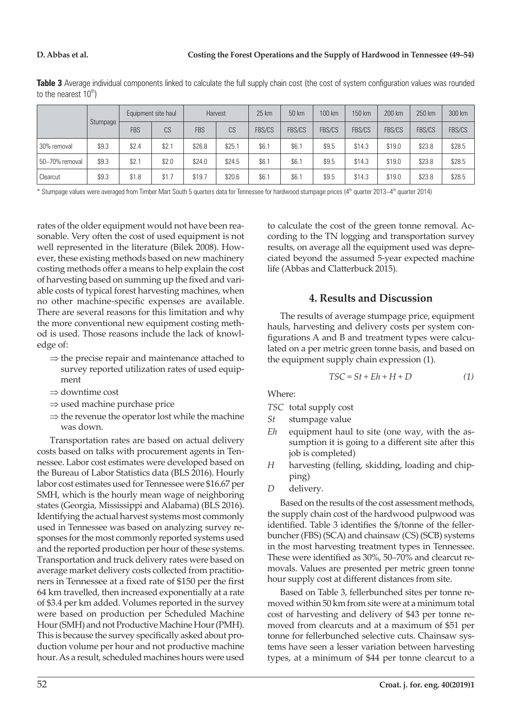**Table 3** Average individual components linked to calculate the full supply chain cost (the cost of system configuration values was rounded to the nearest  $10^{th}$ )

|                |          | Equipment site haul |       | Harvest    |        | 25 km         | 50 km         | 100 km        | 150 km        | 200 km        | 250 km        | 300 km |
|----------------|----------|---------------------|-------|------------|--------|---------------|---------------|---------------|---------------|---------------|---------------|--------|
|                | Stumpage | <b>FBS</b>          | CS    | <b>FBS</b> | CS     | <b>FBS/CS</b> | <b>FBS/CS</b> | <b>FBS/CS</b> | <b>FBS/CS</b> | <b>FBS/CS</b> | <b>FBS/CS</b> | FBS/CS |
| 30% removal    | \$9.3    | \$2.4               | \$2.1 | \$26.8     | \$25.1 | \$6.          | \$6.1         | \$9.5         | \$14.3        | \$19.0        | \$23.8        | \$28.5 |
| 50-70% removal | \$9.3    | \$2.7               | \$2.0 | \$24.0     | \$24.5 | \$6.          | \$6.1         | \$9.5         | \$14.3        | \$19.0        | \$23.8        | \$28.5 |
| Clearcut       | \$9.3    | \$1.8               | \$1.7 | \$19.7     | \$20.6 | \$6.          | \$6.1         | \$9.5         | \$14.3        | \$19.0        | \$23.8        | \$28.5 |

\* Stumpage values were averaged from Timber Mart South 5 quarters data for Tennessee for hardwood stumpage prices (4<sup>th</sup> quarter 2013–4<sup>th</sup> quarter 2014)

rates of the older equipment would not have been reasonable. Very often the cost of used equipment is not well represented in the literature (Bilek 2008). However, these existing methods based on new machinery costing methods offer a means to help explain the cost of harvesting based on summing up the fixed and variable costs of typical forest harvesting machines, when no other machine-specific expenses are available. There are several reasons for this limitation and why the more conventional new equipment costing method is used. Those reasons include the lack of knowledge of:

- $\Rightarrow$  the precise repair and maintenance attached to survey reported utilization rates of used equipment
- $\Rightarrow$  downtime cost
- $\Rightarrow$  used machine purchase price
- $\Rightarrow$  the revenue the operator lost while the machine was down.

Transportation rates are based on actual delivery costs based on talks with procurement agents in Tennessee. Labor cost estimates were developed based on the Bureau of Labor Statistics data (BLS 2016). Hourly labor cost estimates used for Tennessee were \$16.67 per SMH, which is the hourly mean wage of neighboring states (Georgia, Mississippi and Alabama) (BLS 2016). Identifying the actual harvest systems most commonly used in Tennessee was based on analyzing survey responses for the most commonly reported systems used and the reported production per hour of these systems. Transportation and truck delivery rates were based on average market delivery costs collected from practitioners in Tennessee at a fixed rate of \$150 per the first 64 km travelled, then increased exponentially at a rate of \$3.4 per km added. Volumes reported in the survey were based on production per Scheduled Machine Hour (SMH) and not Productive Machine Hour (PMH). This is because the survey specifically asked about production volume per hour and not productive machine hour. As a result, scheduled machines hours were used

to calculate the cost of the green tonne removal. According to the TN logging and transportation survey results, on average all the equipment used was depreciated beyond the assumed 5-year expected machine life (Abbas and Clatterbuck 2015).

## **4. Results and Discussion**

The results of average stumpage price, equipment hauls, harvesting and delivery costs per system configurations A and B and treatment types were calculated on a per metric green tonne basis, and based on the equipment supply chain expression (1).

$$
TSC = St + Eh + H + D \tag{1}
$$

Where:

- *TSC* total supply cost
- *St* stumpage value
- *Eh* equipment haul to site (one way, with the assumption it is going to a different site after this job is completed)
- *H* harvesting (felling, skidding, loading and chipping)
- *D* delivery.

Based on the results of the cost assessment methods, the supply chain cost of the hardwood pulpwood was identified. Table 3 identifies the \$/tonne of the fellerbuncher (FBS) (SCA) and chainsaw (CS) (SCB) systems in the most harvesting treatment types in Tennessee. These were identified as 30%, 50–70% and clearcut removals. Values are presented per metric green tonne hour supply cost at different distances from site.

Based on Table 3, fellerbunched sites per tonne removed within 50 km from site were at a minimum total cost of harvesting and delivery of \$43 per tonne removed from clearcuts and at a maximum of \$51 per tonne for fellerbunched selective cuts. Chainsaw systems have seen a lesser variation between harvesting types, at a minimum of \$44 per tonne clearcut to a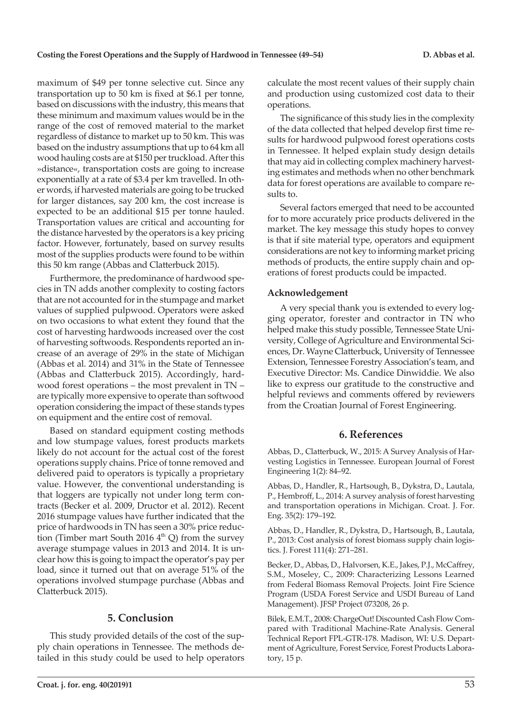maximum of \$49 per tonne selective cut. Since any transportation up to 50 km is fixed at \$6.1 per tonne, based on discussions with the industry, this means that these minimum and maximum values would be in the range of the cost of removed material to the market regardless of distance to market up to 50 km. This was based on the industry assumptions that up to 64 km all wood hauling costs are at \$150 per truckload. After this »distance«, transportation costs are going to increase exponentially at a rate of \$3.4 per km travelled. In other words, if harvested materials are going to be trucked for larger distances, say 200 km, the cost increase is expected to be an additional \$15 per tonne hauled. Transportation values are critical and accounting for the distance harvested by the operators is a key pricing factor. However, fortunately, based on survey results most of the supplies products were found to be within this 50 km range (Abbas and Clatterbuck 2015).

Furthermore, the predominance of hardwood species in TN adds another complexity to costing factors that are not accounted for in the stumpage and market values of supplied pulpwood. Operators were asked on two occasions to what extent they found that the cost of harvesting hardwoods increased over the cost of harvesting softwoods. Respondents reported an increase of an average of 29% in the state of Michigan (Abbas et al. 2014) and 31% in the State of Tennessee (Abbas and Clatterbuck 2015). Accordingly, hardwood forest operations – the most prevalent in TN – are typically more expensive to operate than softwood operation considering the impact of these stands types on equipment and the entire cost of removal.

Based on standard equipment costing methods and low stumpage values, forest products markets likely do not account for the actual cost of the forest operations supply chains. Price of tonne removed and delivered paid to operators is typically a proprietary value. However, the conventional understanding is that loggers are typically not under long term contracts (Becker et al. 2009, Dructor et al. 2012). Recent 2016 stumpage values have further indicated that the price of hardwoods in TN has seen a 30% price reduction (Timber mart South 2016  $4<sup>th</sup>$  Q) from the survey average stumpage values in 2013 and 2014. It is unclear how this is going to impact the operator's pay per load, since it turned out that on average 51% of the operations involved stumpage purchase (Abbas and Clatterbuck 2015).

## **5. Conclusion**

This study provided details of the cost of the supply chain operations in Tennessee. The methods detailed in this study could be used to help operators calculate the most recent values of their supply chain and production using customized cost data to their operations.

The significance of this study lies in the complexity of the data collected that helped develop first time results for hardwood pulpwood forest operations costs in Tennessee. It helped explain study design details that may aid in collecting complex machinery harvesting estimates and methods when no other benchmark data for forest operations are available to compare results to.

Several factors emerged that need to be accounted for to more accurately price products delivered in the market. The key message this study hopes to convey is that if site material type, operators and equipment considerations are not key to informing market pricing methods of products, the entire supply chain and operations of forest products could be impacted.

## **Acknowledgement**

A very special thank you is extended to every logging operator, forester and contractor in TN who helped make this study possible, Tennessee State University, College of Agriculture and Environmental Sciences, Dr. Wayne Clatterbuck, University of Tennessee Extension, Tennessee Forestry Association's team, and Executive Director: Ms. Candice Dinwiddie. We also like to express our gratitude to the constructive and helpful reviews and comments offered by reviewers from the Croatian Journal of Forest Engineering.

## **6. References**

Abbas, D., Clatterbuck, W., 2015: A Survey Analysis of Harvesting Logistics in Tennessee. European Journal of Forest Engineering 1(2): 84–92.

Abbas, D., Handler, R., Hartsough, B., Dykstra, D., Lautala, P., Hembroff, L., 2014: A survey analysis of forest harvesting and transportation operations in Michigan. Croat. J. For. Eng. 35(2): 179–192.

Abbas, D., Handler, R., Dykstra, D., Hartsough, B., Lautala, P., 2013: Cost analysis of forest biomass supply chain logistics. J. Forest 111(4): 271–281.

Becker, D., Abbas, D., Halvorsen, K.E., Jakes, P.J., McCaffrey, S.M., Moseley, C., 2009: Characterizing Lessons Learned from Federal Biomass Removal Projects. Joint Fire Science Program (USDA Forest Service and USDI Bureau of Land Management). JFSP Project 073208, 26 p.

Bilek, E.M.T., 2008: ChargeOut! Discounted Cash Flow Compared with Traditional Machine-Rate Analysis. General Technical Report FPL-GTR-178. Madison, WI: U.S. Department of Agriculture, Forest Service, Forest Products Laboratory, 15 p.